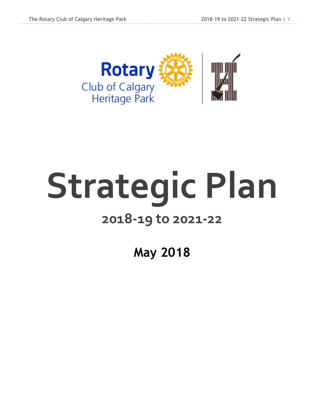

# Strategic Plan

### **2018-19 to 2021-22**

**May 2018**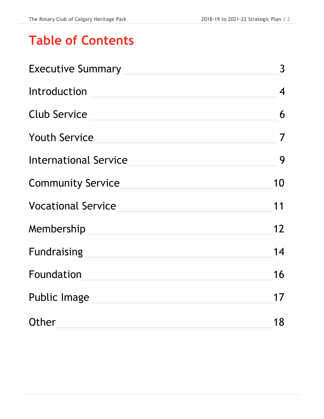# **Table of Contents**

| <b>Executive Summary</b>     | $\mathsf{3}$      |
|------------------------------|-------------------|
| Introduction                 | $\overline{4}$    |
| <b>Club Service</b>          | 6                 |
| <b>Youth Service</b>         | $\overline{7}$    |
| <b>International Service</b> | 9                 |
| <b>Community Service</b>     | 10                |
| <b>Vocational Service</b>    | 11                |
| Membership                   | $12 \overline{ }$ |
| <b>Fundraising</b>           | 14                |
| Foundation                   | 16                |
| <b>Public Image</b>          | 17                |
| Other                        | 18                |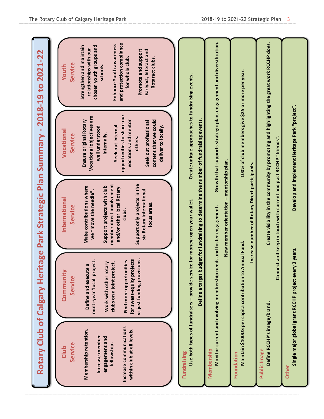|                                                                                                                                                      |                                                                                                                                                                                                                          | Rotary Club of Calgary Heritage Park Strategic Plan Summary - 2018-19 to 2021-22                                                                                                                                                                            |                                                                                                                                                                                                                                                                               |                                                                                                                                                                                                                                                             |
|------------------------------------------------------------------------------------------------------------------------------------------------------|--------------------------------------------------------------------------------------------------------------------------------------------------------------------------------------------------------------------------|-------------------------------------------------------------------------------------------------------------------------------------------------------------------------------------------------------------------------------------------------------------|-------------------------------------------------------------------------------------------------------------------------------------------------------------------------------------------------------------------------------------------------------------------------------|-------------------------------------------------------------------------------------------------------------------------------------------------------------------------------------------------------------------------------------------------------------|
| Increase communications<br>within club at all levels.<br>Membership retention.<br>Increase member<br>engagement and<br>Service<br>fellowship<br>Club | vs just funding provisions.<br>for sweat-equity projects<br>Find more opportunities<br>multi-year 'local' project.<br>clubs on a joint project.<br>Work with other rotary<br>Define and execute a<br>Communit<br>Service | member direct involvement<br>Support only projects in the<br>Make contributions where<br>Support projects with club<br>and/or other local Rotary<br>six Rotary International<br>we "move the needle".<br>International<br>focus areas.<br>Service<br>clubs. | opportunities to share our<br>Vocational objectives are<br>Ensure original Rotary<br>vocations and mentor<br>content that we could<br>Seek out professional<br>Seek out internal<br>deliver to locally.<br>well understood<br>Vocational<br>internally.<br>Service<br>others. | and protection compliance<br>Enhance Youth awareness<br>chosen youth groups and<br>Strengthen and maintain<br>relationships with our<br>Promote and support<br>Earlyact, Interact and<br>Rotaract clubs.<br>for whole club.<br>Service<br>schools.<br>Youth |
| <b>Fundraising</b>                                                                                                                                   | Use both types of fundraisers - provide service for money; open your wallet.<br>Define a target                                                                                                                          | budget for fundraising to determine the number of fundraising events.                                                                                                                                                                                       | Create unique approaches to fundraising events.                                                                                                                                                                                                                               |                                                                                                                                                                                                                                                             |
| Membership                                                                                                                                           | Monitor current and evolving membership                                                                                                                                                                                  | New member orientation - mentorship plan.<br>needs and foster engagement.                                                                                                                                                                                   | Growth that supports strategic plan, engagement and diversification.                                                                                                                                                                                                          |                                                                                                                                                                                                                                                             |
| Foundation                                                                                                                                           | Maintain \$100US per capita contribution to Annual Fund.                                                                                                                                                                 | Increase number of Rotary Direct participants.                                                                                                                                                                                                              | 100% of club members give \$25 or more per year.                                                                                                                                                                                                                              |                                                                                                                                                                                                                                                             |
| Define RCCHP's image/brand.<br>Public Image                                                                                                          | <b>Gon</b>                                                                                                                                                                                                               | mect and keep in touch with current and past RCCHP "friends".                                                                                                                                                                                               | Create visibility in the community by promoting and highlighting the great work RCCHP does.                                                                                                                                                                                   |                                                                                                                                                                                                                                                             |
| Other                                                                                                                                                | Single major global grant RCCHP project every 3 years.                                                                                                                                                                   |                                                                                                                                                                                                                                                             | Develop and implement Heritage Park "project".                                                                                                                                                                                                                                |                                                                                                                                                                                                                                                             |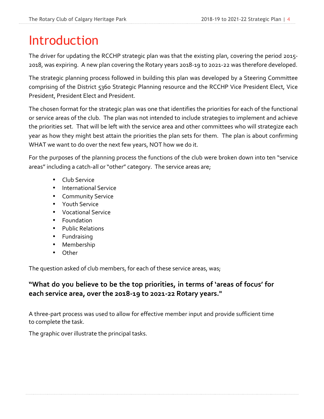# Introduction

The driver for updating the RCCHP strategic plan was that the existing plan, covering the period 2015-2018, was expiring. A new plan covering the Rotary years 2018-19 to 2021-22 was therefore developed.

The strategic planning process followed in building this plan was developed by a Steering Committee comprising of the District 5360 Strategic Planning resource and the RCCHP Vice President Elect, Vice President, President Elect and President.

The chosen format for the strategic plan was one that identifies the priorities for each of the functional or service areas of the club. The plan was not intended to include strategies to implement and achieve the priorities set. That will be left with the service area and other committees who will strategize each year as how they might best attain the priorities the plan sets for them. The plan is about confirming WHAT we want to do over the next few years, NOT how we do it.

For the purposes of the planning process the functions of the club were broken down into ten "service" areas" including a catch-all or "other" category. The service areas are;

- Club Service
- International Service
- Community Service
- Youth Service
- Vocational Service
- Foundation
- Public Relations
- Fundraising
- Membership
- Other

The question asked of club members, for each of these service areas, was;

### "What do you believe to be the top priorities, in terms of 'areas of focus' for each service area, over the 2018-19 to 2021-22 Rotary years."

A three-part process was used to allow for effective member input and provide sufficient time to complete the task.

The graphic over illustrate the principal tasks.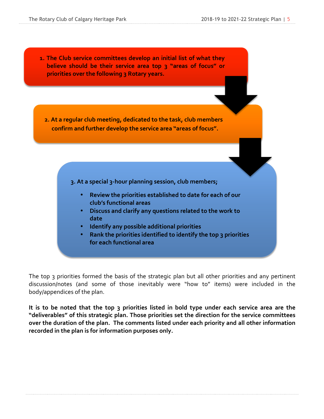**1.** The Club service committees develop an initial list of what they **believe** should be their service area top 3 "areas of focus" or **priorities over the following 3 Rotary years.** 

**2. At a regular club meeting, dedicated to the task, club members** confirm and further develop the service area "areas of focus".

3. At a special 3-hour planning session, club members;

- Review the priorities established to date for each of our **club's functional areas**
- **•** Discuss and clarify any questions related to the work to **date**
- **•** Identify any possible additional priorities
- **Rank the priorities identified to identify the top 3 priorities for each functional area**

The top 3 priorities formed the basis of the strategic plan but all other priorities and any pertinent discussion/notes (and some of those inevitably were "how to" items) were included in the body/appendices of the plan.

It is to be noted that the top 3 priorities listed in bold type under each service area are the "deliverables" of this strategic plan. Those priorities set the direction for the service committees over the duration of the plan. The comments listed under each priority and all other information recorded in the plan is for information purposes only.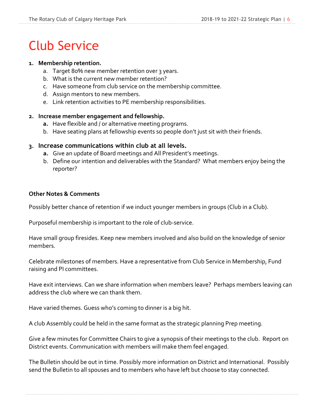# Club Service

#### 1. Membership retention.

- a. Target 80% new member retention over 3 years.
- b. What is the current new member retention?
- c. Have someone from club service on the membership committee.
- d. Assign mentors to new members.
- e. Link retention activities to PE membership responsibilities.

#### 2. Increase member engagement and fellowship.

- **a.** Have flexible and / or alternative meeting programs.
- b. Have seating plans at fellowship events so people don't just sit with their friends.

#### **3. Increase communications within club at all levels.**

- **a.** Give an update of Board meetings and All President's meetings.
- b. Define our intention and deliverables with the Standard? What members enjoy being the reporter?

#### **Other Notes & Comments**

Possibly better chance of retention if we induct younger members in groups (Club in a Club).

Purposeful membership is important to the role of club-service. 

Have small group firesides. Keep new members involved and also build on the knowledge of senior members.

Celebrate milestones of members. Have a representative from Club Service in Membership, Fund raising and PI committees.

Have exit interviews. Can we share information when members leave? Perhaps members leaving can address the club where we can thank them. 

Have varied themes. Guess who's coming to dinner is a big hit.

A club Assembly could be held in the same format as the strategic planning Prep meeting.

Give a few minutes for Committee Chairs to give a synopsis of their meetings to the club. Report on District events. Communication with members will make them feel engaged.

The Bulletin should be out in time. Possibly more information on District and International. Possibly send the Bulletin to all spouses and to members who have left but choose to stay connected.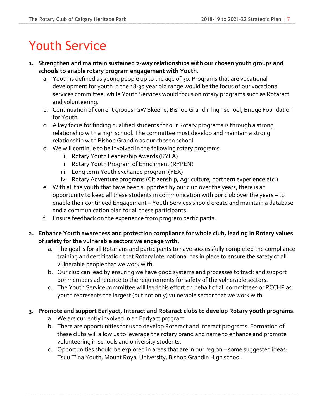# Youth Service

- 1. Strengthen and maintain sustained 2-way relationships with our chosen youth groups and schools to enable rotary program engagement with Youth.
	- a. Youth is defined as young people up to the age of 30. Programs that are vocational development for youth in the 18-30 year old range would be the focus of our vocational services committee, while Youth Services would focus on rotary programs such as Rotaract and volunteering.
	- b. Continuation of current groups: GW Skeene, Bishop Grandin high school, Bridge Foundation for Youth.
	- c. A key focus for finding qualified students for our Rotary programs is through a strong relationship with a high school. The committee must develop and maintain a strong relationship with Bishop Grandin as our chosen school.
	- d. We will continue to be involved in the following rotary programs
		- i. Rotary Youth Leadership Awards (RYLA)
		- ii. Rotary Youth Program of Enrichment (RYPEN)
		- iii. Long term Youth exchange program (YEX)
		- iv. Rotary Adventure programs (Citizenship, Agriculture, northern experience etc.)
	- e. With all the youth that have been supported by our club over the years, there is an opportunity to keep all these students in communication with our club over the years – to enable their continued Engagement – Youth Services should create and maintain a database and a communication plan for all these participants.
	- f. Ensure feedback on the experience from program participants.
- 2. Enhance Youth awareness and protection compliance for whole club, leading in Rotary values of safety for the vulnerable sectors we engage with.
	- a. The goal is for all Rotarians and participants to have successfully completed the compliance training and certification that Rotary International has in place to ensure the safety of all vulnerable people that we work with.
	- b. Our club can lead by ensuring we have good systems and processes to track and support our members adherence to the requirements for safety of the vulnerable sectors.
	- c. The Youth Service committee will lead this effort on behalf of all committees or RCCHP as youth represents the largest (but not only) vulnerable sector that we work with.
- **3. Promote and support Earlyact, Interact and Rotaract clubs to develop Rotary youth programs.**
	- a. We are currently involved in an Earlyact program
	- b. There are opportunities for us to develop Rotaract and Interact programs. Formation of these clubs will allow us to leverage the rotary brand and name to enhance and promote volunteering in schools and university students.
	- c. Opportunities should be explored in areas that are in our region some suggested ideas: Tsuu T'ina Youth, Mount Royal University, Bishop Grandin High school.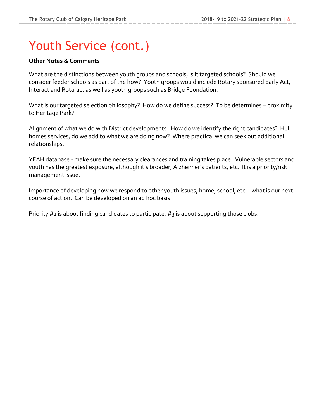# Youth Service (cont.)

#### **Other Notes & Comments**

What are the distinctions between youth groups and schools, is it targeted schools? Should we consider feeder schools as part of the how? Youth groups would include Rotary sponsored Early Act, Interact and Rotaract as well as youth groups such as Bridge Foundation.

What is our targeted selection philosophy? How do we define success? To be determines – proximity to Heritage Park?

Alignment of what we do with District developments. How do we identify the right candidates? Hull homes services, do we add to what we are doing now? Where practical we can seek out additional relationships.

YEAH database - make sure the necessary clearances and training takes place. Vulnerable sectors and youth has the greatest exposure, although it's broader, Alzheimer's patients, etc. It is a priority/risk management issue.

Importance of developing how we respond to other youth issues, home, school, etc. - what is our next course of action. Can be developed on an ad hoc basis

Priority  $#1$  is about finding candidates to participate,  $#3$  is about supporting those clubs.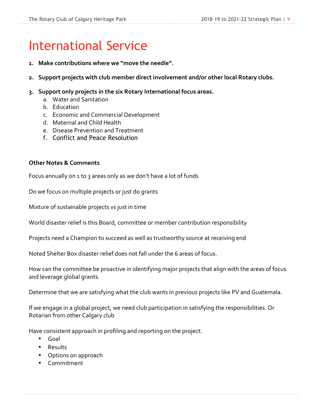# International Service

- 1. Make contributions where we "move the needle".
- 2. Support projects with club member direct involvement and/or other local Rotary clubs.
- 3. Support only projects in the six Rotary International focus areas.
	- a. Water and Sanitation
	- b. Education
	- c. Economic and Commercial Development
	- d. Maternal and Child Health
	- e. Disease Prevention and Treatment
	- f. Conflict and Peace Resolution

#### **Other Notes & Comments**

Focus annually on  $1$  to  $3$  areas only as we don't have a lot of funds

Do we focus on multiple projects or just do grants

Mixture of sustainable projects vs just in time

World disaster relief is this Board, committee or member contribution responsibility

Projects need a Champion to succeed as well as trustworthy source at receiving end

Noted Shelter Box disaster relief does not fall under the 6 areas of focus.

How can the committee be proactive in identifying major projects that align with the areas of focus and leverage global grants. 

Determine that we are satisfying what the club wants in previous projects like PV and Guatemala.

If we engage in a global project, we need club participation in satisfying the responsibilities. Or Rotarian from other Calgary club

Have consistent approach in profiling and reporting on the project. 

- Goal
- Results
- Options on approach
- Commitment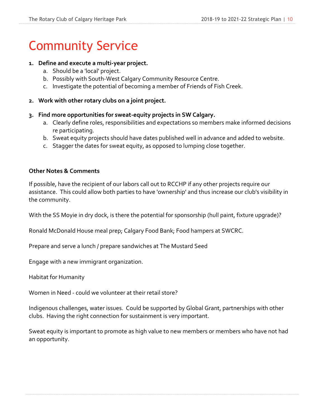# Community Service

#### 1. Define and execute a multi-year project.

- a. Should be a 'local' project.
- b. Possibly with South-West Calgary Community Resource Centre.
- c. Investigate the potential of becoming a member of Friends of Fish Creek.
- **2.** Work with other rotary clubs on a joint project.
- **3. Find more opportunities for sweat-equity projects in SW Calgary.**
	- a. Clearly define roles, responsibilities and expectations so members make informed decisions re participating.
	- b. Sweat equity projects should have dates published well in advance and added to website.
	- c. Stagger the dates for sweat equity, as opposed to lumping close together.

#### **Other Notes & Comments**

If possible, have the recipient of our labors call out to RCCHP if any other projects require our assistance. This could allow both parties to have 'ownership' and thus increase our club's visibility in the community.

With the SS Moyie in dry dock, is there the potential for sponsorship (hull paint, fixture upgrade)?

Ronald McDonald House meal prep; Calgary Food Bank; Food hampers at SWCRC.

Prepare and serve a lunch / prepare sandwiches at The Mustard Seed

Engage with a new immigrant organization.

Habitat for Humanity

Women in Need - could we volunteer at their retail store?

Indigenous challenges, water issues. Could be supported by Global Grant, partnerships with other clubs. Having the right connection for sustainment is very important.

Sweat equity is important to promote as high value to new members or members who have not had an opportunity.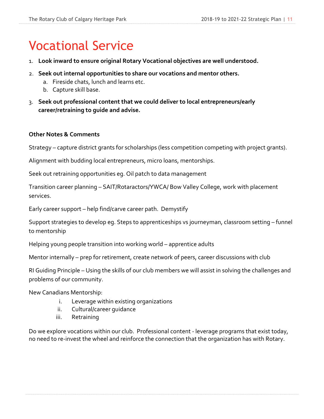# Vocational Service

- 1. Look inward to ensure original Rotary Vocational objectives are well understood.
- 2. **Seek out internal opportunities to share our vocations and mentor others.**
	- a. Fireside chats, lunch and learns etc.
	- b. Capture skill base.
- 3. Seek out professional content that we could deliver to local entrepreneurs/early career/retraining to guide and advise.

#### **Other Notes & Comments**

Strategy – capture district grants for scholarships (less competition competing with project grants).

Alignment with budding local entrepreneurs, micro loans, mentorships.

Seek out retraining opportunities eg. Oil patch to data management

Transition career planning - SAIT/Rotaractors/YWCA/ Bow Valley College, work with placement services.

Early career support - help find/carve career path. Demystify

Support strategies to develop eg. Steps to apprenticeships vs journeyman, classroom setting – funnel to mentorship

Helping young people transition into working world – apprentice adults

Mentor internally – prep for retirement, create network of peers, career discussions with club

RI Guiding Principle – Using the skills of our club members we will assist in solving the challenges and problems of our community.

New Canadians Mentorship:

- i. Leverage within existing organizations
- ii. Cultural/career quidance
- iii. Retraining

Do we explore vocations within our club. Professional content - leverage programs that exist today, no need to re-invest the wheel and reinforce the connection that the organization has with Rotary.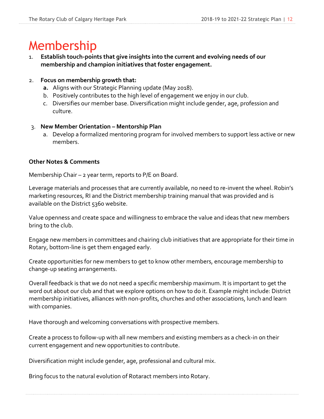# Membership

1. **Establish touch-points that give insights into the current and evolving needs of our membership and champion initiatives that foster engagement.**

### 2. **Focus on membership growth that:**

- **a.** Aligns with our Strategic Planning update (May 2018).
- b. Positively contributes to the high level of engagement we enjoy in our club.
- c. Diversifies our member base. Diversification might include gender, age, profession and culture.

### 3. **New Member Orientation – Mentorship Plan**

a. Develop a formalized mentoring program for involved members to support less active or new members. 

### **Other Notes & Comments**

Membership Chair – 2 year term, reports to P/E on Board.

Leverage materials and processes that are currently available, no need to re-invent the wheel. Robin's marketing resources, RI and the District membership training manual that was provided and is available on the District 5360 website.

Value openness and create space and willingness to embrace the value and ideas that new members bring to the club.

Engage new members in committees and chairing club initiatives that are appropriate for their time in Rotary, bottom-line is get them engaged early.

Create opportunities for new members to get to know other members, encourage membership to change-up seating arrangements.

Overall feedback is that we do not need a specific membership maximum. It is important to get the word out about our club and that we explore options on how to do it. Example might include: District membership initiatives, alliances with non-profits, churches and other associations, lunch and learn with companies.

Have thorough and welcoming conversations with prospective members.

Create a process to follow-up with all new members and existing members as a check-in on their current engagement and new opportunities to contribute.

Diversification might include gender, age, professional and cultural mix.

Bring focus to the natural evolution of Rotaract members into Rotary.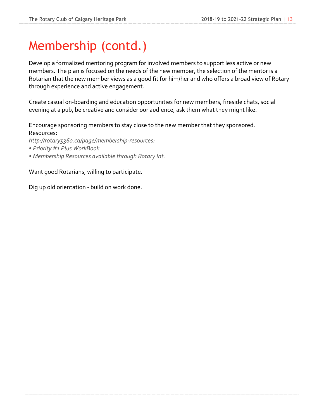# Membership (contd.)

Develop a formalized mentoring program for involved members to support less active or new members. The plan is focused on the needs of the new member, the selection of the mentor is a Rotarian that the new member views as a good fit for him/her and who offers a broad view of Rotary through experience and active engagement.

Create casual on-boarding and education opportunities for new members, fireside chats, social evening at a pub, be creative and consider our audience, ask them what they might like.

Encourage sponsoring members to stay close to the new member that they sponsored. Resources:

*http://rotary5360.ca/page/membership-resources:*

- *• Priority #1 Plus WorkBook*
- *• Membership Resources available through Rotary Int.*

Want good Rotarians, willing to participate.

Dig up old orientation - build on work done.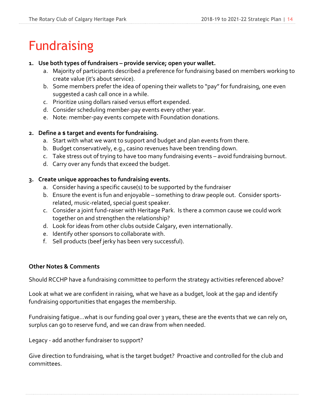# Fundraising

#### 1. Use both types of fundraisers – provide service; open your wallet.

- a. Majority of participants described a preference for fundraising based on members working to create value (it's about service).
- b. Some members prefer the idea of opening their wallets to "pay" for fundraising, one even suggested a cash call once in a while.
- c. Prioritize using dollars raised versus effort expended.
- d. Consider scheduling member-pay events every other year.
- e. Note: member-pay events compete with Foundation donations.

### 2. Define a \$ target and events for fundraising.

- a. Start with what we want to support and budget and plan events from there.
- b. Budget conservatively, e.g., casino revenues have been trending down.
- c. Take stress out of trying to have too many fundraising events avoid fundraising burnout.
- d. Carry over any funds that exceed the budget.

### **3. Create unique approaches to fundraising events.**

- a. Consider having a specific cause(s) to be supported by the fundraiser
- b. Ensure the event is fun and enjoyable something to draw people out. Consider sportsrelated, music-related, special guest speaker.
- c. Consider a joint fund-raiser with Heritage Park. Is there a common cause we could work together on and strengthen the relationship?
- d. Look for ideas from other clubs outside Calgary, even internationally.
- e. Identify other sponsors to collaborate with.
- f. Sell products (beef jerky has been very successful).

### **Other Notes & Comments**

Should RCCHP have a fundraising committee to perform the strategy activities referenced above?

Look at what we are confident in raising, what we have as a budget, look at the gap and identify fundraising opportunities that engages the membership.

Fundraising fatigue...what is our funding goal over 3 years, these are the events that we can rely on, surplus can go to reserve fund, and we can draw from when needed. 

Legacy - add another fundraiser to support?

Give direction to fundraising, what is the target budget? Proactive and controlled for the club and committees.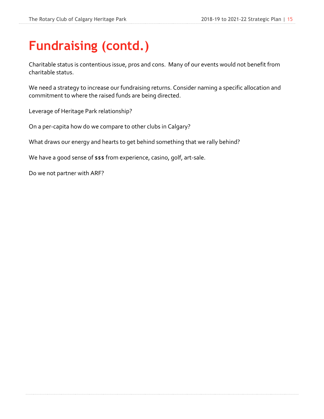# **Fundraising (contd.)**

Charitable status is contentious issue, pros and cons. Many of our events would not benefit from charitable status. 

We need a strategy to increase our fundraising returns. Consider naming a specific allocation and commitment to where the raised funds are being directed. 

Leverage of Heritage Park relationship?

On a per-capita how do we compare to other clubs in Calgary? 

What draws our energy and hearts to get behind something that we rally behind? 

We have a good sense of \$\$\$ from experience, casino, golf, art-sale.

Do we not partner with ARF?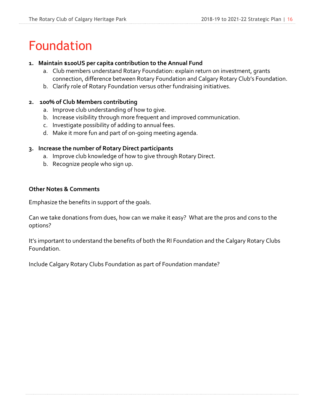# Foundation

#### 1. Maintain \$100US per capita contribution to the Annual Fund

- a. Club members understand Rotary Foundation: explain return on investment, grants connection, difference between Rotary Foundation and Calgary Rotary Club's Foundation.
- b. Clarify role of Rotary Foundation versus other fundraising initiatives.

#### **2. 100% of Club Members contributing**

- a. Improve club understanding of how to give.
- b. Increase visibility through more frequent and improved communication.
- c. Investigate possibility of adding to annual fees.
- d. Make it more fun and part of on-going meeting agenda.

#### **3. Increase the number of Rotary Direct participants**

- a. Improve club knowledge of how to give through Rotary Direct.
- b. Recognize people who sign up.

#### **Other Notes & Comments**

Emphasize the benefits in support of the goals. 

Can we take donations from dues, how can we make it easy? What are the pros and cons to the options? 

It's important to understand the benefits of both the RI Foundation and the Calgary Rotary Clubs Foundation. 

Include Calgary Rotary Clubs Foundation as part of Foundation mandate?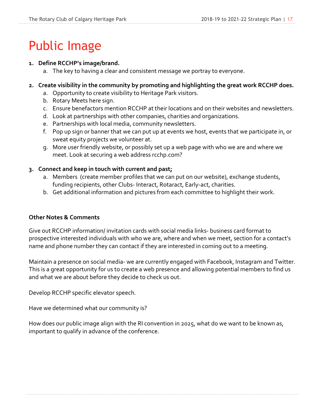# Public Image

### **1. Define RCCHP's image/brand.**

a. The key to having a clear and consistent message we portray to everyone.

### 2. Create visibility in the community by promoting and highlighting the great work RCCHP does.

- a. Opportunity to create visibility to Heritage Park visitors.
- b. Rotary Meets here sign.
- c. Ensure benefactors mention RCCHP at their locations and on their websites and newsletters.
- d. Look at partnerships with other companies, charities and organizations.
- e. Partnerships with local media, community newsletters.
- f. Pop up sign or banner that we can put up at events we host, events that we participate in, or sweat equity projects we volunteer at.
- g. More user friendly website, or possibly set up a web page with who we are and where we meet. Look at securing a web address rcchp.com?

### **3. Connect and keep in touch with current and past;**

- a. Members (create member profiles that we can put on our website), exchange students, funding recipients, other Clubs- Interact, Rotaract, Early-act, charities.
- b. Get additional information and pictures from each committee to highlight their work.

### **Other Notes & Comments**

Give out RCCHP information/ invitation cards with social media links- business card format to prospective interested individuals with who we are, where and when we meet, section for a contact's name and phone number they can contact if they are interested in coming out to a meeting.

Maintain a presence on social media- we are currently engaged with Facebook, Instagram and Twitter. This is a great opportunity for us to create a web presence and allowing potential members to find us and what we are about before they decide to check us out.

Develop RCCHP specific elevator speech. 

Have we determined what our community is? 

How does our public image align with the RI convention in 2025, what do we want to be known as, important to qualify in advance of the conference.